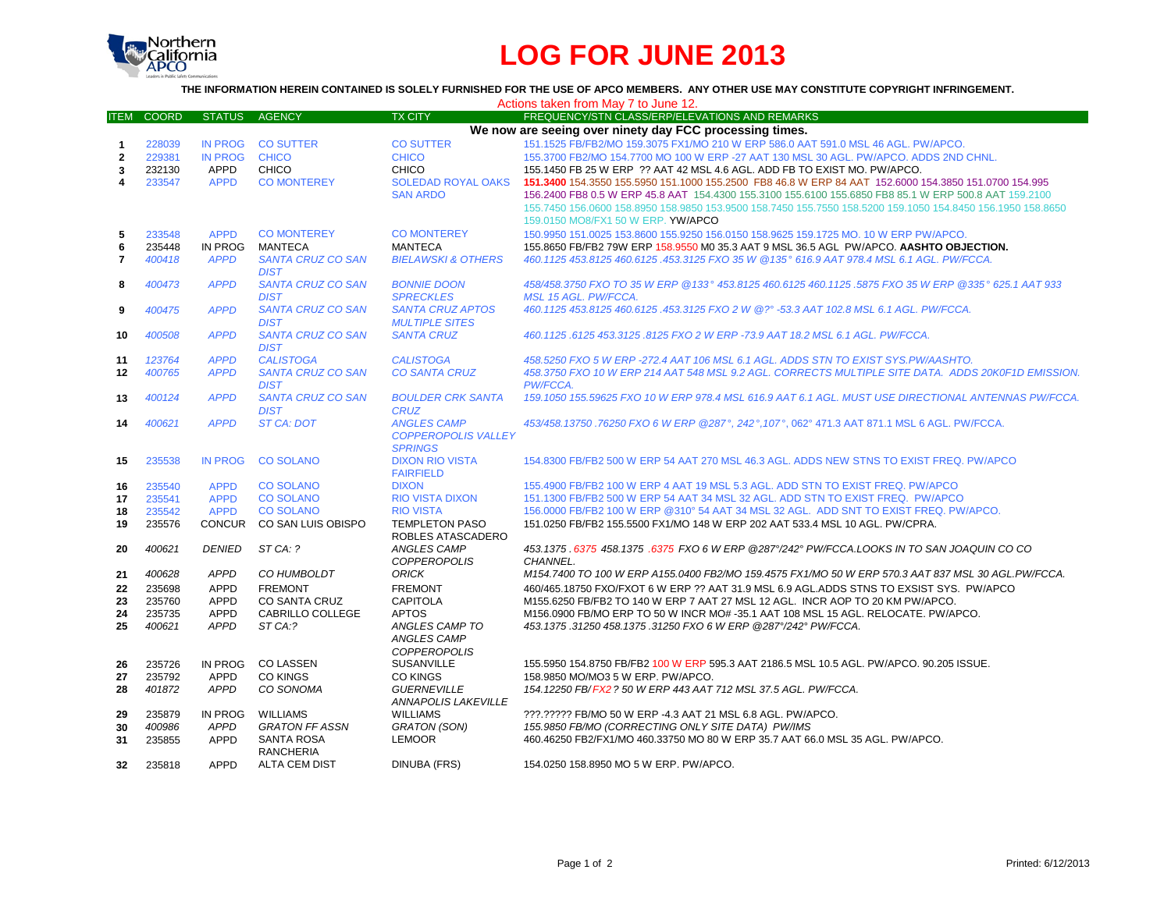

## **LOG FOR JUNE 2013**

## **THE INFORMATION HEREIN CONTAINED IS SOLELY FURNISHED FOR THE USE OF APCO MEMBERS. ANY OTHER USE MAY CONSTITUTE COPYRIGHT INFRINGEMENT.**

| Actions taken from May 7 to June 12. |              |                |                          |                               |                                                                                                             |  |  |  |
|--------------------------------------|--------------|----------------|--------------------------|-------------------------------|-------------------------------------------------------------------------------------------------------------|--|--|--|
| <b>ITEM</b>                          | <b>COORD</b> | <b>STATUS</b>  | <b>AGENCY</b>            | <b>TX CITY</b>                | <b>FREQUENCY/STN CLASS/ERP/ELEVATIONS AND REMARKS</b>                                                       |  |  |  |
|                                      |              |                |                          |                               | We now are seeing over ninety day FCC processing times.                                                     |  |  |  |
| $\mathbf{1}$                         | 228039       | <b>IN PROG</b> | <b>CO SUTTER</b>         | <b>CO SUTTER</b>              | 151.1525 FB/FB2/MO 159.3075 FX1/MO 210 W ERP 586.0 AAT 591.0 MSL 46 AGL, PW/APCO.                           |  |  |  |
| $\overline{2}$                       | 229381       | IN PROG        | <b>CHICO</b>             | <b>CHICO</b>                  | 155.3700 FB2/MO 154.7700 MO 100 W ERP -27 AAT 130 MSL 30 AGL. PW/APCO. ADDS 2ND CHNL.                       |  |  |  |
| 3                                    | 232130       | APPD           | <b>CHICO</b>             | <b>CHICO</b>                  | 155.1450 FB 25 W ERP ?? AAT 42 MSL 4.6 AGL. ADD FB TO EXIST MO. PW/APCO.                                    |  |  |  |
| 4                                    | 233547       | <b>APPD</b>    | <b>CO MONTEREY</b>       | <b>SOLEDAD ROYAL OAKS</b>     | 151.3400 154.3550 155.5950 151.1000 155.2500 FB8 46.8 W ERP 84 AAT 152.6000 154.3850 151.0700 154.995       |  |  |  |
|                                      |              |                |                          | <b>SAN ARDO</b>               | 156.2400 FB8 0.5 W ERP 45.8 AAT 154.4300 155.3100 155.6100 155.6850 FB8 85.1 W ERP 500.8 AAT 159.2100       |  |  |  |
|                                      |              |                |                          |                               | 155.7450 156.0600 158.8950 158.9850 153.9500 158.7450 155.7550 158.5200 159.1050 154.8450 156.1950 158.8650 |  |  |  |
|                                      |              |                |                          |                               | 159.0150 MO8/FX1 50 W ERP. YW/APCO                                                                          |  |  |  |
| 5                                    | 233548       | <b>APPD</b>    | <b>CO MONTEREY</b>       | <b>CO MONTEREY</b>            | 150.9950 151.0025 153.8600 155.9250 156.0150 158.9625 159.1725 MO. 10 W ERP PW/APCO.                        |  |  |  |
| 6                                    | 235448       | IN PROG        | MANTECA                  | <b>MANTECA</b>                | 155.8650 FB/FB2 79W ERP 158.9550 M0 35.3 AAT 9 MSL 36.5 AGL PW/APCO. AASHTO OBJECTION.                      |  |  |  |
| $\overline{7}$                       | 400418       | <b>APPD</b>    | <b>SANTA CRUZ CO SAN</b> | <b>BIELAWSKI &amp; OTHERS</b> | 460.1125 453.8125 460.6125 .453.3125 FXO 35 W @135° 616.9 AAT 978.4 MSL 6.1 AGL. PW/FCCA.                   |  |  |  |
|                                      |              |                | <b>DIST</b>              |                               |                                                                                                             |  |  |  |
| 8                                    | 400473       | <b>APPD</b>    | <b>SANTA CRUZ CO SAN</b> | <b>BONNIE DOON</b>            | 458/458.3750 FXO TO 35 W ERP @133° 453.8125 460.6125 460.1125 .5875 FXO 35 W ERP @335° 625.1 AAT 933        |  |  |  |
|                                      |              |                | <b>DIST</b>              | <b>SPRECKLES</b>              | <b>MSL 15 AGL, PW/FCCA.</b>                                                                                 |  |  |  |
| 9                                    | 400475       | <b>APPD</b>    | <b>SANTA CRUZ CO SAN</b> | <b>SANTA CRUZ APTOS</b>       | 460.1125 453.8125 460.6125 .453.3125 FXO 2 W @?° -53.3 AAT 102.8 MSL 6.1 AGL. PW/FCCA.                      |  |  |  |
|                                      |              |                | <b>DIST</b>              | <b>MULTIPLE SITES</b>         |                                                                                                             |  |  |  |
| 10                                   | 400508       | <b>APPD</b>    | <b>SANTA CRUZ CO SAN</b> | <b>SANTA CRUZ</b>             | 460.1125.6125 453.3125.8125 FXO 2 W ERP -73.9 AAT 18.2 MSL 6.1 AGL. PW/FCCA.                                |  |  |  |
|                                      |              |                | <b>DIST</b>              |                               |                                                                                                             |  |  |  |
| 11                                   | 123764       | <b>APPD</b>    | <b>CALISTOGA</b>         | <b>CALISTOGA</b>              | 458.5250 FXO 5 W ERP -272.4 AAT 106 MSL 6.1 AGL. ADDS STN TO EXIST SYS.PW/AASHTO.                           |  |  |  |
| $12 \,$                              | 400765       | <b>APPD</b>    | <b>SANTA CRUZ CO SAN</b> | <b>CO SANTA CRUZ</b>          | 458.3750 FXO 10 W ERP 214 AAT 548 MSL 9.2 AGL. CORRECTS MULTIPLE SITE DATA. ADDS 20K0F1D EMISSION.          |  |  |  |
|                                      |              |                | <b>DIST</b>              |                               | PW/FCCA.                                                                                                    |  |  |  |
| 13                                   | 400124       | <b>APPD</b>    | <b>SANTA CRUZ CO SAN</b> | <b>BOULDER CRK SANTA</b>      | 159.1050 155.59625 FXO 10 W ERP 978.4 MSL 616.9 AAT 6.1 AGL. MUST USE DIRECTIONAL ANTENNAS PW/FCCA.         |  |  |  |
|                                      |              |                | <b>DIST</b>              | <b>CRUZ</b>                   |                                                                                                             |  |  |  |
| 14                                   | 400621       | <b>APPD</b>    | ST CA: DOT               | <b>ANGLES CAMP</b>            | 453/458.13750 .76250 FXO 6 W ERP @287°, 242°, 107°, 062° 471.3 AAT 871.1 MSL 6 AGL. PW/FCCA.                |  |  |  |
|                                      |              |                |                          | <b>COPPEROPOLIS VALLEY</b>    |                                                                                                             |  |  |  |
|                                      |              |                |                          | <b>SPRINGS</b>                |                                                                                                             |  |  |  |
| 15                                   | 235538       | <b>IN PROG</b> | <b>CO SOLANO</b>         | <b>DIXON RIO VISTA</b>        | 154.8300 FB/FB2 500 W ERP 54 AAT 270 MSL 46.3 AGL. ADDS NEW STNS TO EXIST FREQ. PW/APCO                     |  |  |  |
|                                      |              |                |                          | <b>FAIRFIELD</b>              |                                                                                                             |  |  |  |
| 16                                   | 235540       | <b>APPD</b>    | <b>CO SOLANO</b>         | <b>DIXON</b>                  | 155.4900 FB/FB2 100 W ERP 4 AAT 19 MSL 5.3 AGL. ADD STN TO EXIST FREQ. PW/APCO                              |  |  |  |
| 17                                   | 235541       | <b>APPD</b>    | <b>CO SOLANO</b>         | <b>RIO VISTA DIXON</b>        | 151.1300 FB/FB2 500 W ERP 54 AAT 34 MSL 32 AGL. ADD STN TO EXIST FREQ. PW/APCO                              |  |  |  |
| 18                                   | 235542       | <b>APPD</b>    | <b>CO SOLANO</b>         | <b>RIO VISTA</b>              | 156,0000 FB/FB2 100 W ERP @310° 54 AAT 34 MSL 32 AGL. ADD SNT TO EXIST FREQ. PW/APCO.                       |  |  |  |
| 19                                   | 235576       | <b>CONCUR</b>  | CO SAN LUIS OBISPO       | <b>TEMPLETON PASO</b>         | 151.0250 FB/FB2 155.5500 FX1/MO 148 W ERP 202 AAT 533.4 MSL 10 AGL. PW/CPRA.                                |  |  |  |
|                                      |              |                |                          | ROBLES ATASCADERO             |                                                                                                             |  |  |  |
| 20                                   | 400621       | <b>DENIED</b>  | ST CA: ?                 | <b>ANGLES CAMP</b>            | 453.1375 .6375 458.1375 .6375 FXO 6 W ERP @287°/242° PW/FCCA.LOOKS IN TO SAN JOAQUIN CO CO                  |  |  |  |
|                                      |              |                |                          | <b>COPPEROPOLIS</b>           | CHANNEL.                                                                                                    |  |  |  |
| 21                                   | 400628       | <b>APPD</b>    | CO HUMBOLDT              | <b>ORICK</b>                  | M154.7400 TO 100 W ERP A155.0400 FB2/MO 159.4575 FX1/MO 50 W ERP 570.3 AAT 837 MSL 30 AGL.PW/FCCA.          |  |  |  |
| 22                                   | 235698       | <b>APPD</b>    | <b>FREMONT</b>           | <b>FREMONT</b>                | 460/465.18750 FXO/FXOT 6 W ERP ?? AAT 31.9 MSL 6.9 AGL.ADDS STNS TO EXSIST SYS. PW/APCO                     |  |  |  |
| 23                                   | 235760       | <b>APPD</b>    | <b>CO SANTA CRUZ</b>     | <b>CAPITOLA</b>               | M155.6250 FB/FB2 TO 140 W ERP 7 AAT 27 MSL 12 AGL. INCR AOP TO 20 KM PW/APCO.                               |  |  |  |
| 24                                   | 235735       | <b>APPD</b>    | CABRILLO COLLEGE         | <b>APTOS</b>                  | M156.0900 FB/MO ERP TO 50 W INCR MO# -35.1 AAT 108 MSL 15 AGL. RELOCATE. PW/APCO.                           |  |  |  |
| 25                                   | 400621       | <b>APPD</b>    | ST CA:?                  | ANGLES CAMP TO                | 453.1375.31250 458.1375.31250 FXO 6 W ERP @287°/242° PW/FCCA.                                               |  |  |  |
|                                      |              |                |                          | <b>ANGLES CAMP</b>            |                                                                                                             |  |  |  |
|                                      |              |                |                          | <b>COPPEROPOLIS</b>           |                                                                                                             |  |  |  |
| 26                                   | 235726       | IN PROG        | <b>CO LASSEN</b>         | SUSANVILLE                    | 155.5950 154.8750 FB/FB2 100 W ERP 595.3 AAT 2186.5 MSL 10.5 AGL. PW/APCO, 90.205 ISSUE.                    |  |  |  |
| 27                                   | 235792       | <b>APPD</b>    | <b>CO KINGS</b>          | <b>CO KINGS</b>               | 158.9850 MO/MO3 5 W ERP. PW/APCO.                                                                           |  |  |  |
| 28                                   | 401872       | <b>APPD</b>    | CO SONOMA                | <b>GUERNEVILLE</b>            | 154.12250 FB/FX2 ? 50 W ERP 443 AAT 712 MSL 37.5 AGL, PW/FCCA.                                              |  |  |  |
|                                      |              |                |                          | <b>ANNAPOLIS LAKEVILLE</b>    |                                                                                                             |  |  |  |
| 29                                   | 235879       | IN PROG        | <b>WILLIAMS</b>          | <b>WILLIAMS</b>               | ???.????? FB/MO 50 W ERP -4.3 AAT 21 MSL 6.8 AGL. PW/APCO.                                                  |  |  |  |
| 30                                   | 400986       | APPD           | <b>GRATON FF ASSN</b>    | <b>GRATON (SON)</b>           | 155.9850 FB/MO (CORRECTING ONLY SITE DATA) PW/IMS                                                           |  |  |  |
| 31                                   | 235855       | <b>APPD</b>    | <b>SANTA ROSA</b>        | <b>LEMOOR</b>                 | 460.46250 FB2/FX1/MO 460.33750 MO 80 W ERP 35.7 AAT 66.0 MSL 35 AGL. PW/APCO.                               |  |  |  |
|                                      |              |                | <b>RANCHERIA</b>         |                               |                                                                                                             |  |  |  |
| 32                                   | 235818       | <b>APPD</b>    | <b>ALTA CEM DIST</b>     | DINUBA (FRS)                  | 154.0250 158.8950 MO 5 W ERP. PW/APCO.                                                                      |  |  |  |